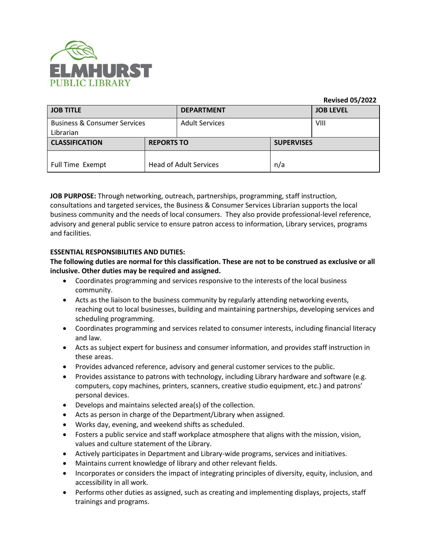

#### **Revised 05/2022**

| <b>JOB TITLE</b>                                     |                               | <b>DEPARTMENT</b>     |                   | <b>JOB LEVEL</b> |
|------------------------------------------------------|-------------------------------|-----------------------|-------------------|------------------|
| <b>Business &amp; Consumer Services</b><br>Librarian |                               | <b>Adult Services</b> |                   | VIII             |
| <b>CLASSIFICATION</b>                                | <b>REPORTS TO</b>             |                       | <b>SUPERVISES</b> |                  |
| Full Time Exempt                                     | <b>Head of Adult Services</b> |                       | n/a               |                  |

**JOB PURPOSE:** Through networking, outreach, partnerships, programming, staff instruction, consultations and targeted services, the Business & Consumer Services Librarian supports the local business community and the needs of local consumers. They also provide professional-level reference, advisory and general public service to ensure patron access to information, Library services, programs and facilities.

# **ESSENTIAL RESPONSIBILITIES AND DUTIES:**

**The following duties are normal for this classification. These are not to be construed as exclusive or all inclusive. Other duties may be required and assigned.** 

- Coordinates programming and services responsive to the interests of the local business community.
- Acts as the liaison to the business community by regularly attending networking events, reaching out to local businesses, building and maintaining partnerships, developing services and scheduling programming.
- Coordinates programming and services related to consumer interests, including financial literacy and law.
- Acts as subject expert for business and consumer information, and provides staff instruction in these areas.
- Provides advanced reference, advisory and general customer services to the public.
- Provides assistance to patrons with technology, including Library hardware and software (e.g. computers, copy machines, printers, scanners, creative studio equipment, etc.) and patrons' personal devices.
- Develops and maintains selected area(s) of the collection.
- Acts as person in charge of the Department/Library when assigned.
- Works day, evening, and weekend shifts as scheduled.
- Fosters a public service and staff workplace atmosphere that aligns with the mission, vision, values and culture statement of the Library.
- Actively participates in Department and Library-wide programs, services and initiatives.
- Maintains current knowledge of library and other relevant fields.
- Incorporates or considers the impact of integrating principles of diversity, equity, inclusion, and accessibility in all work.
- Performs other duties as assigned, such as creating and implementing displays, projects, staff trainings and programs.